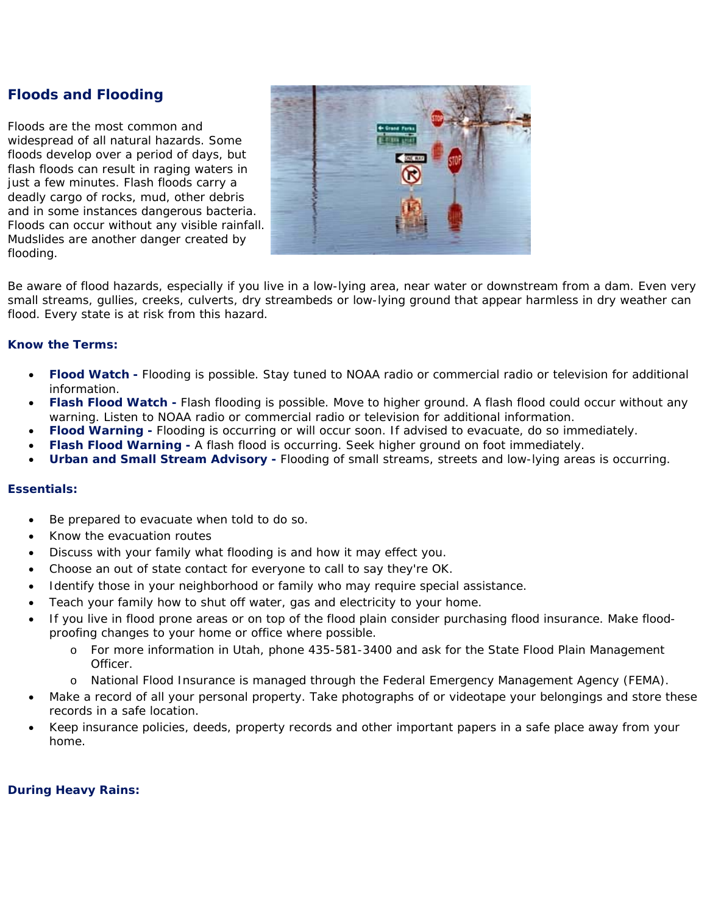# **Floods and Flooding**

Floods are the most common and widespread of all natural hazards. Some floods develop over a period of days, but flash floods can result in raging waters in just a few minutes. Flash floods carry a deadly cargo of rocks, mud, other debris and in some instances dangerous bacteria. Floods can occur without any visible rainfall. Mudslides are another danger created by flooding.



Be aware of flood hazards, especially if you live in a low-lying area, near water or downstream from a dam. Even very small streams, gullies, creeks, culverts, dry streambeds or low-lying ground that appear harmless in dry weather can flood. Every state is at risk from this hazard.

### **Know the Terms:**

- *Flood Watch* **-** Flooding is possible. Stay tuned to NOAA radio or commercial radio or television for additional information.
- *Flash Flood Watch -* Flash flooding is possible. Move to higher ground. A flash flood could occur without any warning. Listen to NOAA radio or commercial radio or television for additional information.
- *Flood Warning -* Flooding is occurring or will occur soon. If advised to evacuate, do so immediately.
- *Flash Flood Warning -* A flash flood is occurring. Seek higher ground on foot immediately.
- *Urban and Small Stream Advisory -* Flooding of small streams, streets and low-lying areas is occurring.

### **Essentials:**

- Be prepared to evacuate when told to do so.
- Know the evacuation routes
- Discuss with your family what flooding is and how it may effect you.
- Choose an out of state contact for everyone to call to say they're OK.
- Identify those in your neighborhood or family who may require special assistance.
- Teach your family how to shut off water, gas and electricity to your home.
- If you live in flood prone areas or on top of the flood plain consider purchasing flood insurance. Make floodproofing changes to your home or office where possible.
	- o For more information in Utah, phone 435-581-3400 and ask for the State Flood Plain Management Officer.
	- o National Flood Insurance is managed through the Federal Emergency Management Agency (FEMA).
- Make a record of all your personal property. Take photographs of or videotape your belongings and store these records in a safe location.
- Keep insurance policies, deeds, property records and other important papers in a safe place away from your home.

#### **During Heavy Rains:**